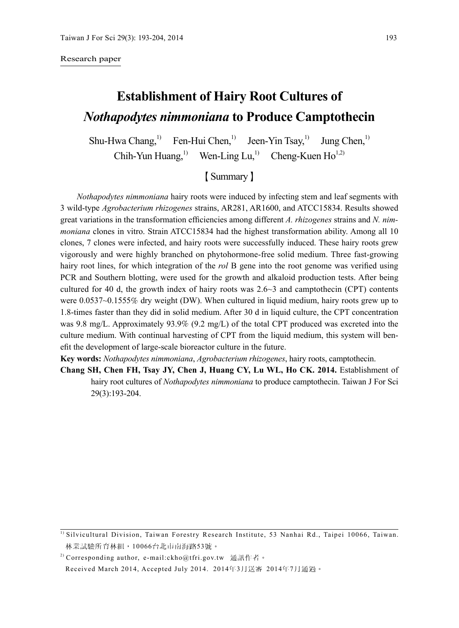#### Research paper

# **Establishment of Hairy Root Cultures of** *Nothapodytes nimmoniana* **to Produce Camptothecin**

Shu-Hwa Chang,<sup>1)</sup> Fen-Hui Chen,<sup>1)</sup> Jeen-Yin Tsay,<sup>1)</sup> Jung Chen,<sup>1)</sup>

Chih-Yun Huang,<sup>1)</sup> Wen-Ling Lu,<sup>1)</sup> Cheng-Kuen Ho<sup>1,2)</sup>

# 【Summary】

*Nothapodytes nimmoniana* hairy roots were induced by infecting stem and leaf segments with 3 wild-type *Agrobacterium rhizogenes* strains, AR281, AR1600, and ATCC15834. Results showed great variations in the transformation efficiencies among different *A. rhizogenes* strains and *N. nimmoniana* clones in vitro. Strain ATCC15834 had the highest transformation ability. Among all 10 clones, 7 clones were infected, and hairy roots were successfully induced. These hairy roots grew vigorously and were highly branched on phytohormone-free solid medium. Three fast-growing hairy root lines, for which integration of the *rol* B gene into the root genome was verified using PCR and Southern blotting, were used for the growth and alkaloid production tests. After being cultured for 40 d, the growth index of hairy roots was  $2.6 \sim 3$  and camptothecin (CPT) contents were 0.0537~0.1555% dry weight (DW). When cultured in liquid medium, hairy roots grew up to 1.8-times faster than they did in solid medium. After 30 d in liquid culture, the CPT concentration was 9.8 mg/L. Approximately 93.9% (9.2 mg/L) of the total CPT produced was excreted into the culture medium. With continual harvesting of CPT from the liquid medium, this system will benefit the development of large-scale bioreactor culture in the future.

**Key words:** *Nothapodytes nimmoniana*, *Agrobacterium rhizogenes*, hairy roots, camptothecin.

**Chang SH, Chen FH, Tsay JY, Chen J, Huang CY, Lu WL, Ho CK. 2014.** Establishment of hairy root cultures of *Nothapodytes nimmoniana* to produce camptothecin. Taiwan J For Sci 29(3):193-204.

<sup>&</sup>lt;sup>1)</sup> Silvicultural Division, Taiwan Forestry Research Institute, 53 Nanhai Rd., Taipei 10066, Taiwan. 林業試驗所育林組,10066台北市南海路53號。

<sup>&</sup>lt;sup>2)</sup> Corresponding author, e-mail:ckho@tfri.gov.tw 通訊作者。

Received March 2014, Accepted July 2014. 2014年3月送審 2014年7月通過。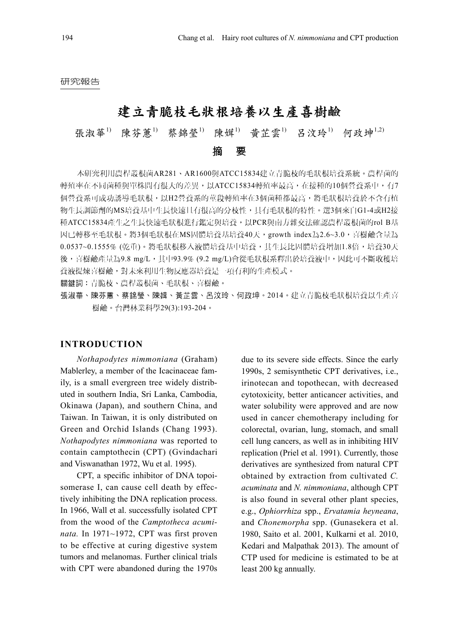#### 研究報告

# 建立青脆枝毛狀根培養以生產喜樹鹼

# 張淑華<sup>1)</sup> 陳芬薫<sup>1)</sup> 蔡錦榮<sup>1)</sup> 陳媶<sup>1</sup> 昔芷雲<sup>1)</sup> 呂汶玲<sup>1</sup> 何政坤<sup>1,2)</sup>

摘 要

本研究利用農桿叢根菌AR281、AR1600與ATCC15834建立青脆枝的毛狀根培養系統。農桿菌的 轉殖率在不同菌種與單株間有很大的差異,以ATCC15834轉殖率最高,在接種的10個營養系中,有7 個營養系可成功誘導毛狀根,以H2營養系的莖段轉殖率在3個菌種都最高,將毛狀根培養於不含有植 物生長調節劑的MS培養基中生長快速且有很高的分枝性,具有毛狀根的特性。選3個來自G1-4或H2接 種ATCC15834產生之生長快速毛狀根進行鑑定與培養,以PCR與南方雜交法確認農桿叢根菌的rol B基 因已轉移至毛狀根。將3個毛狀根在MS固體培養基培養40天,growth index為2.6~3.0,喜樹鹼含量為 0.0537~0.1555% (乾重)。將毛狀根移入液體培養基中培養,其生長比固體培養增加1.8倍,培養30天 後,喜樹鹼產量為9.8 mg/L,其中93.9% (9.2 mg/L)會從毛狀根系釋出於培養液中,因此可不斷收穫培 養液提煉喜樹鹼,對未來利用生物反應器培養是一項有利的生產模式。

關鍵詞:青脆枝、農桿叢根菌、毛狀根、喜樹鹼。

張淑華、陳芬蕙、蔡錦瑩、陳媶、黃芷雲、呂汶玲、何政坤。2014。建立青脆枝毛狀根培養以生產喜 樹鹼。台灣林業科學29(3):193-204。

#### **INTRODUCTION**

*Nothapodytes nimmoniana* (Graham) Mablerley, a member of the Icacinaceae family, is a small evergreen tree widely distributed in southern India, Sri Lanka, Cambodia, Okinawa (Japan), and southern China, and Taiwan. In Taiwan, it is only distributed on Green and Orchid Islands (Chang 1993). *Nothapodytes nimmoniana* was reported to contain camptothecin (CPT) (Gvindachari and Viswanathan 1972, Wu et al. 1995).

CPT, a specific inhibitor of DNA topoisomerase I, can cause cell death by effectively inhibiting the DNA replication process. In 1966, Wall et al. successfully isolated CPT from the wood of the *Camptotheca acuminata.* In 1971~1972, CPT was first proven to be effective at curing digestive system tumors and melanomas. Further clinical trials with CPT were abandoned during the 1970s

due to its severe side effects. Since the early 1990s, 2 semisynthetic CPT derivatives, i.e., irinotecan and topothecan, with decreased cytotoxicity, better anticancer activities, and water solubility were approved and are now used in cancer chemotherapy including for colorectal, ovarian, lung, stomach, and small cell lung cancers, as well as in inhibiting HIV replication (Priel et al. 1991). Currently, those derivatives are synthesized from natural CPT obtained by extraction from cultivated *C. acuminata* and *N. nimmoniana*, although CPT is also found in several other plant species, e.g., *Ophiorrhiza* spp., *Ervatamia heyneana*, and *Chonemorpha* spp. (Gunasekera et al. 1980, Saito et al. 2001, Kulkarni et al. 2010, Kedari and Malpathak 2013). The amount of CTP used for medicine is estimated to be at least 200 kg annually.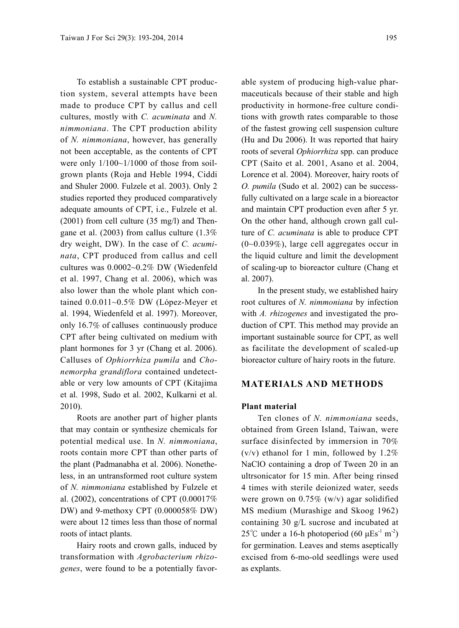To establish a sustainable CPT production system, several attempts have been made to produce CPT by callus and cell cultures, mostly with *C. acuminata* and *N. nimmoniana*. The CPT production ability of *N. nimmoniana*, however, has generally not been acceptable, as the contents of CPT were only  $1/100~1/1000$  of those from soilgrown plants (Roja and Heble 1994, Ciddi and Shuler 2000. Fulzele et al. 2003). Only 2 studies reported they produced comparatively adequate amounts of CPT, i.e., Fulzele et al. (2001) from cell culture (35 mg/l) and Thengane et al. (2003) from callus culture (1.3% dry weight, DW). In the case of *C. acuminata*, CPT produced from callus and cell cultures was 0.0002~0.2% DW (Wiedenfeld et al. 1997, Chang et al. 2006), which was also lower than the whole plant which contained 0.0.011~0.5% DW (López-Meyer et al. 1994, Wiedenfeld et al. 1997). Moreover, only 16.7% of calluses continuously produce CPT after being cultivated on medium with plant hormones for 3 yr (Chang et al. 2006). Calluses of *Ophiorrhiza pumila* and *Chonemorpha grandiflora* contained undetectable or very low amounts of CPT (Kitajima et al. 1998, Sudo et al. 2002, Kulkarni et al. 2010).

Roots are another part of higher plants that may contain or synthesize chemicals for potential medical use. In *N. nimmoniana*, roots contain more CPT than other parts of the plant (Padmanabha et al. 2006). Nonetheless, in an untransformed root culture system of *N. nimmoniana* established by Fulzele et al. (2002), concentrations of CPT (0.00017% DW) and 9-methoxy CPT (0.000058% DW) were about 12 times less than those of normal roots of intact plants.

Hairy roots and crown galls, induced by transformation with *Agrobacterium rhizogenes*, were found to be a potentially favor-

able system of producing high-value pharmaceuticals because of their stable and high productivity in hormone-free culture conditions with growth rates comparable to those of the fastest growing cell suspension culture (Hu and Du 2006). It was reported that hairy roots of several *Ophiorrhiza* spp. can produce CPT (Saito et al. 2001, Asano et al. 2004, Lorence et al. 2004). Moreover, hairy roots of *O. pumila* (Sudo et al. 2002) can be successfully cultivated on a large scale in a bioreactor and maintain CPT production even after 5 yr. On the other hand, although crown gall culture of *C. acuminata* is able to produce CPT  $(0\negthinspace\negthinspace\sim 0.039\%)$ , large cell aggregates occur in the liquid culture and limit the development of scaling-up to bioreactor culture (Chang et al. 2007).

In the present study, we established hairy root cultures of *N. nimmoniana* by infection with *A. rhizogenes* and investigated the production of CPT. This method may provide an important sustainable source for CPT, as well as facilitate the development of scaled-up bioreactor culture of hairy roots in the future.

## **MATERIALS AND METHODS**

#### **Plant material**

Ten clones of *N. nimmoniana* seeds, obtained from Green Island, Taiwan, were surface disinfected by immersion in 70%  $(v/v)$  ethanol for 1 min, followed by 1.2% NaClO containing a drop of Tween 20 in an ultrsonicator for 15 min. After being rinsed 4 times with sterile deionized water, seeds were grown on 0.75% (w/v) agar solidified MS medium (Murashige and Skoog 1962) containing 30 g/L sucrose and incubated at 25<sup>°</sup>C under a 16-h photoperiod (60  $\mu$ Es<sup>-1</sup> m<sup>-2</sup>) for germination. Leaves and stems aseptically excised from 6-mo-old seedlings were used as explants.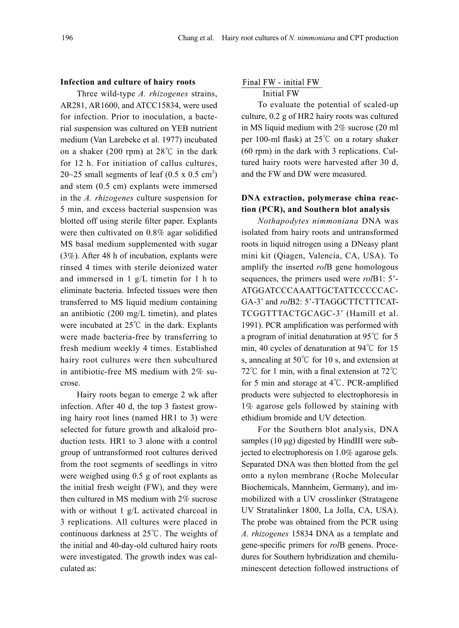# **Infection and culture of hairy roots**

Three wild-type *A. rhizogenes* strains, AR281, AR1600, and ATCC15834, were used for infection. Prior to inoculation, a bacterial suspension was cultured on YEB nutrient medium (Van Larebeke et al. 1977) incubated on a shaker (200 rpm) at 28℃ in the dark for 12 h. For initiation of callus cultures,  $20~25$  small segments of leaf  $(0.5 \times 0.5 \text{ cm}^2)$ and stem (0.5 cm) explants were immersed in the *A. rhizogenes* culture suspension for 5 min, and excess bacterial suspension was blotted off using sterile filter paper. Explants were then cultivated on 0.8% agar solidified MS basal medium supplemented with sugar (3%). After 48 h of incubation, explants were rinsed 4 times with sterile deionized water and immersed in 1 g/L timetin for 1 h to eliminate bacteria. Infected tissues were then transferred to MS liquid medium containing an antibiotic (200 mg/L timetin), and plates were incubated at 25℃ in the dark. Explants were made bacteria-free by transferring to fresh medium weekly 4 times. Established hairy root cultures were then subcultured in antibiotic-free MS medium with 2% sucrose.

Hairy roots began to emerge 2 wk after infection. After 40 d, the top 3 fastest growing hairy root lines (named HR1 to 3) were selected for future growth and alkaloid production tests. HR1 to 3 alone with a control group of untransformed root cultures derived from the root segments of seedlings in vitro were weighed using 0.5 g of root explants as the initial fresh weight (FW), and they were then cultured in MS medium with 2% sucrose with or without 1 g/L activated charcoal in 3 replications. All cultures were placed in continuous darkness at 25℃. The weights of the initial and 40-day-old cultured hairy roots were investigated. The growth index was calculated as:

#### Final FW - initial FW

#### **Initial FW**

To evaluate the potential of scaled-up culture, 0.2 g of HR2 hairy roots was cultured in MS liquid medium with 2% sucrose (20 ml per 100-ml flask) at 25℃ on a rotary shaker (60 rpm) in the dark with 3 replications. Cultured hairy roots were harvested after 30 d, and the FW and DW were measured.

# **DNA extraction, polymerase china reaction (PCR), and Southern blot analysis**

*Nothapodytes nimmoniana* DNA was isolated from hairy roots and untransformed roots in liquid nitrogen using a DNeasy plant mini kit (Qiagen, Valencia, CA, USA). To amplify the inserted *rol*B gene homologous sequences, the primers used were *rol*B1: 5'- ATGGATCCCAAATTGCTATTCCCCCAC-GA-3' and *rol*B2: 5'-TTAGGCTTCTTTCAT-TCGGTTTACTGCAGC-3' (Hamill et al. 1991). PCR amplification was performed with a program of initial denaturation at 95℃ for 5 min, 40 cycles of denaturation at 94℃ for 15 s, annealing at 50℃ for 10 s, and extension at 72℃ for 1 min, with a final extension at 72℃ for 5 min and storage at 4℃. PCR-amplified products were subjected to electrophoresis in 1% agarose gels followed by staining with ethidium bromide and UV detection.

For the Southern blot analysis, DNA samples (10 μg) digested by HindIII were subjected to electrophoresis on 1.0% agarose gels. Separated DNA was then blotted from the gel onto a nylon membrane (Roche Molecular Biochemicals, Mannheim, Germany), and immobilized with a UV crosslinker (Stratagene UV Stratalinker 1800, La Jolla, CA, USA). The probe was obtained from the PCR using *A. rhizogenes* 15834 DNA as a template and gene-specific primers for *rol*B genens. Procedures for Southern hybridization and chemiluminescent detection followed instructions of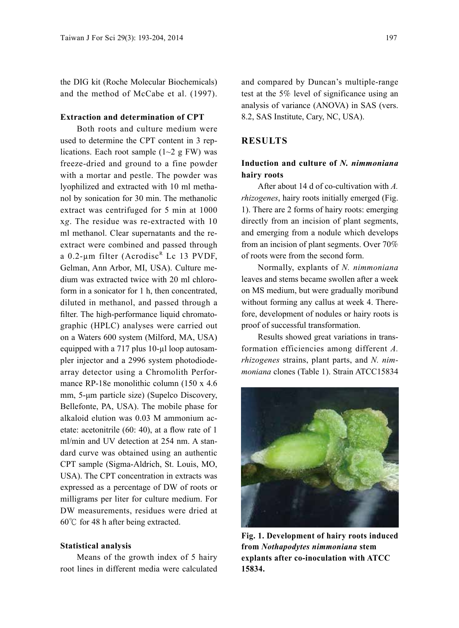the DIG kit (Roche Molecular Biochemicals) and the method of McCabe et al. (1997).

#### **Extraction and determination of CPT**

Both roots and culture medium were used to determine the CPT content in 3 replications. Each root sample  $(1~2~\text{g}$  FW) was freeze-dried and ground to a fine powder with a mortar and pestle. The powder was lyophilized and extracted with 10 ml methanol by sonication for 30 min. The methanolic extract was centrifuged for 5 min at 1000 x*g*. The residue was re-extracted with 10 ml methanol. Clear supernatants and the reextract were combined and passed through a 0.2-µm filter (Acrodisc<sup>R</sup> Lc 13 PVDF, Gelman, Ann Arbor, MI, USA). Culture medium was extracted twice with 20 ml chloroform in a sonicator for 1 h, then concentrated, diluted in methanol, and passed through a filter. The high-performance liquid chromatographic (HPLC) analyses were carried out on a Waters 600 system (Milford, MA, USA) equipped with a 717 plus 10-µl loop autosampler injector and a 2996 system photodiodearray detector using a Chromolith Performance RP-18e monolithic column (150 x 4.6 mm, 5-μm particle size) (Supelco Discovery, Bellefonte, PA, USA). The mobile phase for alkaloid elution was 0.03 M ammonium acetate: acetonitrile (60: 40), at a flow rate of 1 ml/min and UV detection at 254 nm. A standard curve was obtained using an authentic CPT sample (Sigma-Aldrich, St. Louis, MO, USA). The CPT concentration in extracts was expressed as a percentage of DW of roots or milligrams per liter for culture medium. For DW measurements, residues were dried at 60℃ for 48 h after being extracted.

#### **Statistical analysis**

Means of the growth index of 5 hairy root lines in different media were calculated and compared by Duncan's multiple-range test at the 5% level of significance using an analysis of variance (ANOVA) in SAS (vers. 8.2, SAS Institute, Cary, NC, USA).

### **RESULTS**

# **Induction and culture of** *N. nimmoniana*  **hairy roots**

After about 14 d of co-cultivation with *A. rhizogenes*, hairy roots initially emerged (Fig. 1). There are 2 forms of hairy roots: emerging directly from an incision of plant segments, and emerging from a nodule which develops from an incision of plant segments. Over 70% of roots were from the second form.

Normally, explants of *N. nimmoniana*  leaves and stems became swollen after a week on MS medium, but were gradually moribund without forming any callus at week 4. Therefore, development of nodules or hairy roots is proof of successful transformation.

Results showed great variations in transformation efficiencies among different *A. rhizogenes* strains, plant parts, and *N. nimmoniana* clones (Table 1). Strain ATCC15834



**Fig. 1. Development of hairy roots induced from** *Nothapodytes nimmoniana* **stem explants after co-inoculation with ATCC 15834.**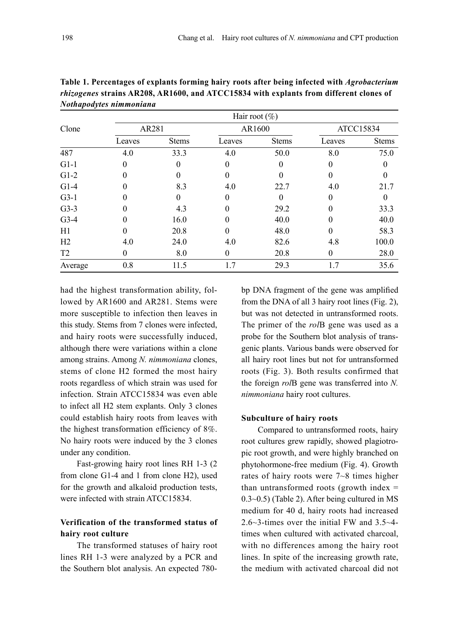| Clone          | Hair root $(\%)$ |              |          |              |           |              |  |  |
|----------------|------------------|--------------|----------|--------------|-----------|--------------|--|--|
|                | AR281            |              | AR1600   |              | ATCC15834 |              |  |  |
|                | Leaves           | <b>Stems</b> | Leaves   | <b>Stems</b> | Leaves    | <b>Stems</b> |  |  |
| 487            | 4.0              | 33.3         | 4.0      | 50.0         | 8.0       | 75.0         |  |  |
| $G1-1$         | 0                |              | 0        |              | $\Omega$  |              |  |  |
| $G1-2$         | 0                |              | 0        |              | $\theta$  | 0            |  |  |
| $G1-4$         | 0                | 8.3          | 4.0      | 22.7         | 4.0       | 21.7         |  |  |
| $G3-1$         | 0                | 0            | 0        |              | $\Omega$  | $\theta$     |  |  |
| $G3-3$         |                  | 4.3          |          | 29.2         | $\Omega$  | 33.3         |  |  |
| $G3-4$         | 0                | 16.0         |          | 40.0         |           | 40.0         |  |  |
| H1             | 0                | 20.8         | 0        | 48.0         | $\Omega$  | 58.3         |  |  |
| H <sub>2</sub> | 4.0              | 24.0         | 4.0      | 82.6         | 4.8       | 100.0        |  |  |
| T <sub>2</sub> | $\theta$         | 8.0          | $\Omega$ | 20.8         | $\theta$  | 28.0         |  |  |
| Average        | 0.8              | 11.5         | 1.7      | 29.3         | 1.7       | 35.6         |  |  |

**Table 1. Percentages of explants forming hairy roots after being infected with** *Agrobacterium rhizogenes* **strains AR208, AR1600, and ATCC15834 with explants from different clones of** *Nothapodytes nimmoniana*

had the highest transformation ability, followed by AR1600 and AR281. Stems were more susceptible to infection then leaves in this study. Stems from 7 clones were infected, and hairy roots were successfully induced, although there were variations within a clone among strains. Among *N. nimmoniana* clones, stems of clone H2 formed the most hairy roots regardless of which strain was used for infection. Strain ATCC15834 was even able to infect all H2 stem explants. Only 3 clones could establish hairy roots from leaves with the highest transformation efficiency of 8%. No hairy roots were induced by the 3 clones under any condition.

Fast-growing hairy root lines RH 1-3 (2 from clone G1-4 and 1 from clone H2), used for the growth and alkaloid production tests, were infected with strain ATCC15834.

# **Verification of the transformed status of hairy root culture**

The transformed statuses of hairy root lines RH 1-3 were analyzed by a PCR and the Southern blot analysis. An expected 780-

bp DNA fragment of the gene was amplified from the DNA of all 3 hairy root lines (Fig. 2), but was not detected in untransformed roots. The primer of the *rol*B gene was used as a probe for the Southern blot analysis of transgenic plants. Various bands were observed for all hairy root lines but not for untransformed roots (Fig. 3). Both results confirmed that the foreign *rol*B gene was transferred into *N. nimmoniana* hairy root cultures.

#### **Subculture of hairy roots**

Compared to untransformed roots, hairy root cultures grew rapidly, showed plagiotropic root growth, and were highly branched on phytohormone-free medium (Fig. 4). Growth rates of hairy roots were 7~8 times higher than untransformed roots (growth index = 0.3~0.5) (Table 2). After being cultured in MS medium for 40 d, hairy roots had increased 2.6~3-times over the initial FW and 3.5~4 times when cultured with activated charcoal, with no differences among the hairy root lines. In spite of the increasing growth rate, the medium with activated charcoal did not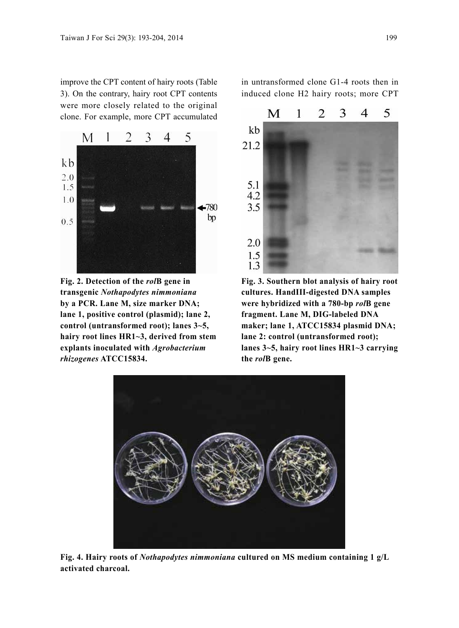improve the CPT content of hairy roots (Table 3). On the contrary, hairy root CPT contents were more closely related to the original clone. For example, more CPT accumulated



**Fig. 2. Detection of the** *rol***B gene in transgenic** *Nothapodytes nimmoniana*  **by a PCR. Lane M, size marker DNA; lane 1, positive control (plasmid); lane 2, control (untransformed root); lanes 3~5, hairy root lines HR1~3, derived from stem explants inoculated with** *Agrobacterium rhizogenes* **ATCC15834.**

in untransformed clone G1-4 roots then in induced clone H2 hairy roots; more CPT



**Fig. 3. Southern blot analysis of hairy root cultures. HandIII-digested DNA samples were hybridized with a 780-bp** *rol***B gene fragment. Lane M, DIG-labeled DNA maker; lane 1, ATCC15834 plasmid DNA; lane 2: control (untransformed root); lanes 3~5, hairy root lines HR1~3 carrying the** *rol***B gene.**



**Fig. 4. Hairy roots of** *Nothapodytes nimmoniana* **cultured on MS medium containing 1 g/L activated charcoal.**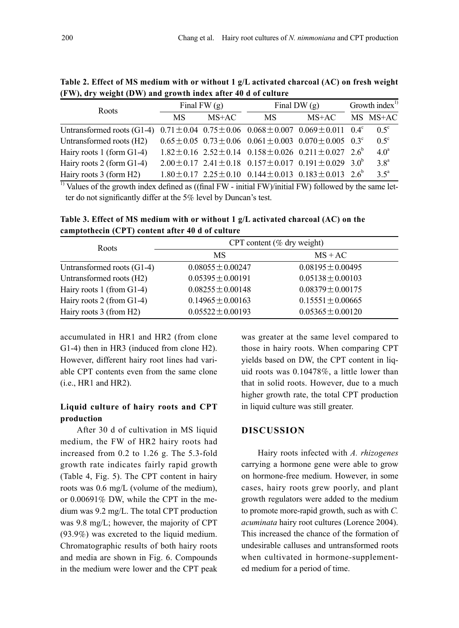| Roots                                                                                                        | Final FW $(g)$ |         | Final DW $(g)$                                                                    |         | Growth index $^{1}$ |                  |
|--------------------------------------------------------------------------------------------------------------|----------------|---------|-----------------------------------------------------------------------------------|---------|---------------------|------------------|
|                                                                                                              | МS             | $MS+AC$ | MS.                                                                               | $MS+AC$ |                     | MS MS+AC         |
| Untransformed roots (G1-4) $0.71 \pm 0.04$ $0.75 \pm 0.06$ $0.068 \pm 0.007$ $0.069 \pm 0.011$ $0.4^{\circ}$ |                |         |                                                                                   |         |                     | $0.5^\circ$      |
| Untransformed roots (H2)                                                                                     |                |         | $0.65 \pm 0.05$ $0.73 \pm 0.06$ $0.061 \pm 0.003$ $0.070 \pm 0.005$ $0.3^{\circ}$ |         |                     | $0.5^\circ$      |
| Hairy roots 1 (form G1-4)                                                                                    |                |         | $1.82 \pm 0.16$ $2.52 \pm 0.14$ $0.158 \pm 0.026$ $0.211 \pm 0.027$ $2.6^{\circ}$ |         |                     | 4.0 <sup>a</sup> |
| Hairy roots 2 (form G1-4)                                                                                    |                |         | $2.00 \pm 0.17$ $2.41 \pm 0.18$ $0.157 \pm 0.017$ $0.191 \pm 0.029$ $3.0^{\circ}$ |         |                     | 3.8 <sup>a</sup> |
| Hairy roots 3 (form H2)                                                                                      |                |         | $1.80 \pm 0.17$ $2.25 \pm 0.10$ $0.144 \pm 0.013$ $0.183 \pm 0.013$ $2.6^{\circ}$ |         |                     | $3.5^{\circ}$    |

**Table 2. Effect of MS medium with or without 1 g/L activated charcoal (AC) on fresh weight (FW), dry weight (DW) and growth index after 40 d of culture**

<sup>1)</sup> Values of the growth index defined as ((final FW - initial FW)/initial FW) followed by the same letter do not significantly differ at the 5% level by Duncan's test.

**Table 3. Effect of MS medium with or without 1 g/L activated charcoal (AC) on the camptothecin (CPT) content after 40 d of culture** 

| Roots                      | CPT content ( $\%$ dry weight) |                       |  |  |
|----------------------------|--------------------------------|-----------------------|--|--|
|                            | MS                             | $MS + AC$             |  |  |
| Untransformed roots (G1-4) | $0.08055 \pm 0.00247$          | $0.08195 \pm 0.00495$ |  |  |
| Untransformed roots (H2)   | $0.05395 \pm 0.00191$          | $0.05138 \pm 0.00103$ |  |  |
| Hairy roots 1 (from G1-4)  | $0.08255 \pm 0.00148$          | $0.08379 \pm 0.00175$ |  |  |
| Hairy roots 2 (from G1-4)  | $0.14965 \pm 0.00163$          | $0.15551 \pm 0.00665$ |  |  |
| Hairy roots 3 (from H2)    | $0.05522 \pm 0.00193$          | $0.05365 \pm 0.00120$ |  |  |

accumulated in HR1 and HR2 (from clone G1-4) then in HR3 (induced from clone H2). However, different hairy root lines had variable CPT contents even from the same clone (i.e., HR1 and HR2).

# **Liquid culture of hairy roots and CPT production**

After 30 d of cultivation in MS liquid medium, the FW of HR2 hairy roots had increased from 0.2 to 1.26 g. The 5.3-fold growth rate indicates fairly rapid growth (Table 4, Fig. 5). The CPT content in hairy roots was 0.6 mg/L (volume of the medium), or 0.00691% DW, while the CPT in the medium was 9.2 mg/L. The total CPT production was 9.8 mg/L; however, the majority of CPT (93.9%) was excreted to the liquid medium. Chromatographic results of both hairy roots and media are shown in Fig. 6. Compounds in the medium were lower and the CPT peak

was greater at the same level compared to those in hairy roots. When comparing CPT yields based on DW, the CPT content in liquid roots was 0.10478%, a little lower than that in solid roots. However, due to a much higher growth rate, the total CPT production in liquid culture was still greater.

## **DISCUSSION**

Hairy roots infected with *A. rhizogenes* carrying a hormone gene were able to grow on hormone-free medium. However, in some cases, hairy roots grew poorly, and plant growth regulators were added to the medium to promote more-rapid growth, such as with *C. acuminata* hairy root cultures (Lorence 2004). This increased the chance of the formation of undesirable calluses and untransformed roots when cultivated in hormone-supplemented medium for a period of time.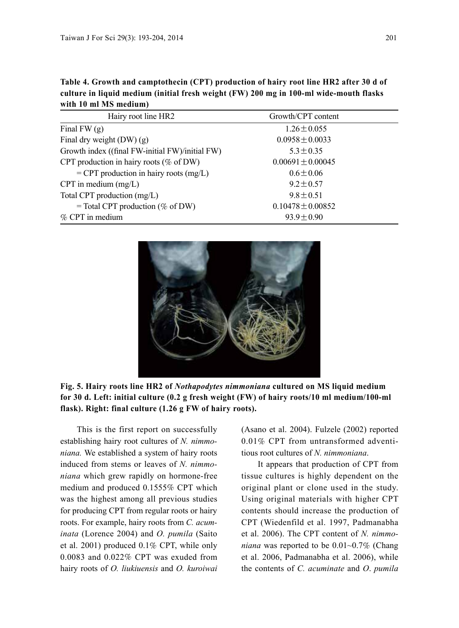| Table 4. Growth and camptothecin (CPT) production of hairy root line HR2 after 30 d of |
|----------------------------------------------------------------------------------------|
| culture in liquid medium (initial fresh weight (FW) 200 mg in 100-ml wide-mouth flasks |
| with 10 ml MS medium)                                                                  |

| Hairy root line HR2                             | Growth/CPT content    |
|-------------------------------------------------|-----------------------|
| Final FW $(g)$                                  | $1.26 \pm 0.055$      |
| Final dry weight $(DW)(g)$                      | $0.0958 \pm 0.0033$   |
| Growth index ((final FW-initial FW)/initial FW) | $5.3 \pm 0.35$        |
| CPT production in hairy roots ( $\%$ of DW)     | $0.00691 \pm 0.00045$ |
| $=$ CPT production in hairy roots (mg/L)        | $0.6 \pm 0.06$        |
| CPT in medium $(mg/L)$                          | $9.2 \pm 0.57$        |
| Total CPT production (mg/L)                     | $9.8 \pm 0.51$        |
| $=$ Total CPT production (% of DW)              | $0.10478 \pm 0.00852$ |
| $\%$ CPT in medium                              | $93.9 \pm 0.90$       |



**Fig. 5. Hairy roots line HR2 of** *Nothapodytes nimmoniana* **cultured on MS liquid medium for 30 d. Left: initial culture (0.2 g fresh weight (FW) of hairy roots/10 ml medium/100-ml flask). Right: final culture (1.26 g FW of hairy roots).**

This is the first report on successfully establishing hairy root cultures of *N. nimmoniana.* We established a system of hairy roots induced from stems or leaves of *N. nimmoniana* which grew rapidly on hormone-free medium and produced 0.1555% CPT which was the highest among all previous studies for producing CPT from regular roots or hairy roots. For example, hairy roots from *C. acuminata* (Lorence 2004) and *O. pumila* (Saito et al. 2001) produced 0.1% CPT, while only 0.0083 and 0.022% CPT was exuded from hairy roots of *O. liukiuensis* and *O. kuroiwai*

(Asano et al. 2004). Fulzele (2002) reported 0.01% CPT from untransformed adventitious root cultures of *N. nimmoniana*.

It appears that production of CPT from tissue cultures is highly dependent on the original plant or clone used in the study. Using original materials with higher CPT contents should increase the production of CPT (Wiedenfild et al. 1997, Padmanabha et al. 2006). The CPT content of *N. nimmoniana* was reported to be 0.01~0.7% (Chang et al. 2006, Padmanabha et al. 2006), while the contents of *C. acuminate* and *O*. *pumila*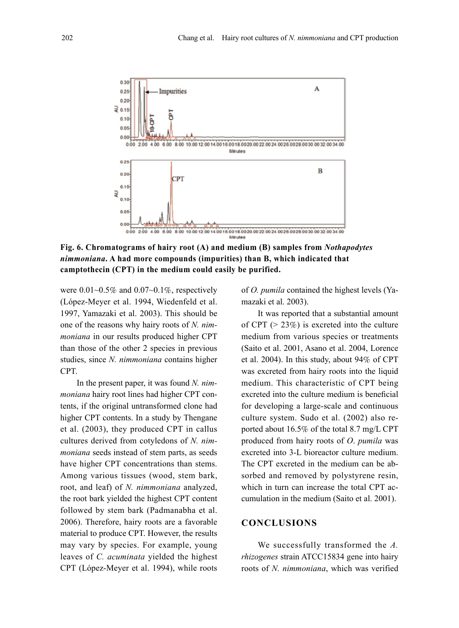

**Fig. 6. Chromatograms of hairy root (A) and medium (B) samples from** *Nothapodytes nimmoniana***. A had more compounds (impurities) than B, which indicated that camptothecin (CPT) in the medium could easily be purified.**

were  $0.01~0.5\%$  and  $0.07~0.1\%$ , respectively (López-Meyer et al. 1994, Wiedenfeld et al. 1997, Yamazaki et al. 2003). This should be one of the reasons why hairy roots of *N. nimmoniana* in our results produced higher CPT than those of the other 2 species in previous studies, since *N. nimmoniana* contains higher CPT.

In the present paper, it was found *N. nimmoniana* hairy root lines had higher CPT contents, if the original untransformed clone had higher CPT contents. In a study by Thengane et al. (2003), they produced CPT in callus cultures derived from cotyledons of *N. nimmoniana* seeds instead of stem parts, as seeds have higher CPT concentrations than stems. Among various tissues (wood, stem bark, root, and leaf) of *N. nimmoniana* analyzed, the root bark yielded the highest CPT content followed by stem bark (Padmanabha et al. 2006). Therefore, hairy roots are a favorable material to produce CPT. However, the results may vary by species. For example, young leaves of *C. acuminata* yielded the highest CPT (López-Meyer et al. 1994), while roots of *O. pumila* contained the highest levels (Yamazaki et al. 2003).

It was reported that a substantial amount of CPT ( $> 23\%$ ) is excreted into the culture medium from various species or treatments (Saito et al. 2001, Asano et al. 2004, Lorence et al. 2004). In this study, about 94% of CPT was excreted from hairy roots into the liquid medium. This characteristic of CPT being excreted into the culture medium is beneficial for developing a large-scale and continuous culture system. Sudo et al. (2002) also reported about 16.5% of the total 8.7 mg/L CPT produced from hairy roots of *O*. *pumila* was excreted into 3-L bioreactor culture medium. The CPT excreted in the medium can be absorbed and removed by polystyrene resin, which in turn can increase the total CPT accumulation in the medium (Saito et al. 2001).

#### **CONCLUSIONS**

We successfully transformed the *A. rhizogenes* strain ATCC15834 gene into hairy roots of *N. nimmoniana*, which was verified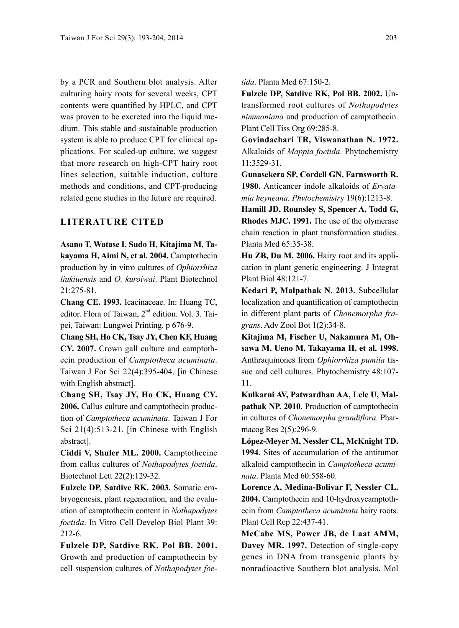by a PCR and Southern blot analysis. After culturing hairy roots for several weeks, CPT contents were quantified by HPLC, and CPT was proven to be excreted into the liquid medium. This stable and sustainable production system is able to produce CPT for clinical applications. For scaled-up culture, we suggest that more research on high-CPT hairy root lines selection, suitable induction, culture methods and conditions, and CPT-producing related gene studies in the future are required.

## **LITERATURE CITED**

**Asano T, Watase I, Sudo H, Kitajima M, Takayama H, Aimi N, et al. 2004.** Camptothecin production by in vitro cultures of *Ophiorrhiza liukiuensis* and *O. kuroiwai*. Plant Biotechnol  $21:275-81$ 

**Chang CE. 1993.** Icacinaceae. In: Huang TC, editor. Flora of Taiwan, 2nd edition. Vol. 3. Taipei, Taiwan: Lungwei Printing. p 676-9.

**Chang SH, Ho CK, Tsay JY, Chen KF, Huang CY. 2007.** Crown gall culture and camptothecin production of *Camptotheca acuminata*. Taiwan J For Sci 22(4):395-404. [in Chinese with English abstract].

**Chang SH, Tsay JY, Ho CK, Huang CY. 2006.** Callus culture and camptothecin production of *Camptotheca acuminata*. Taiwan J For Sci 21(4):513-21. [in Chinese with English abstract].

**Ciddi V, Shuler ML. 2000.** Camptothecine from callus cultures of *Nothapodytes foetida*. Biotechnol Lett 22(2):129-32.

**Fulzele DP, Satdive RK. 2003.** Somatic embryogenesis, plant regeneration, and the evaluation of camptothecin content in *Nothapodytes foetida*. In Vitro Cell Develop Biol Plant 39: 212-6.

**Fulzele DP, Satdive RK, Pol BB. 2001.** Growth and production of camptothecin by cell suspension cultures of *Nothapodytes foe-* *tida*. Planta Med 67:150-2.

**Fulzele DP, Satdive RK, Pol BB. 2002.** Untransformed root cultures of *Nothapodytes nimmoniana* and production of camptothecin. Plant Cell Tiss Org 69:285-8.

**Govindachari TR, Viswanathan N. 1972.**  Alkaloids of *Mappia foetida*. Phytochemistry 11:3529-31.

**Gunasekera SP, Cordell GN, Farnsworth R. 1980.** Anticancer indole alkaloids of *Ervatamia heyneana. Phytochemistr*y 19(6):1213-8.

**Hamill JD, Rounsley S, Spencer A, Todd G, Rhodes MJC. 1991.** The use of the olymerase chain reaction in plant transformation studies. Planta Med 65:35-38.

**Hu ZB, Du M. 2006.** Hairy root and its application in plant genetic engineering. J Integrat Plant Biol 48:121-7.

**Kedari P, Malpathak N. 2013.** Subcellular localization and quantification of camptothecin in different plant parts of *Chonemorpha fragrans*. Adv Zool Bot 1(2):34-8.

**Kitajima M, Fischer U, Nakamura M, Ohsawa M, Ueno M, Takayama H, et al. 1998.** Anthraquinones from *Ophiorrhiza pumila* tissue and cell cultures. Phytochemistry 48:107- 11.

**Kulkarni AV, Patwardhan AA, Lele U, Malpathak NP. 2010.** Production of camptothecin in cultures of *Chonemorpha grandiflora*. Pharmacog Res 2(5):296-9.

**López-Meyer M, Nessler CL, McKnight TD. 1994.** Sites of accumulation of the antitumor alkaloid camptothecin in *Camptotheca acuminata*. Planta Med 60:558-60.

**Lorence A, Medina-Bolivar F, Nessler CL. 2004.** Camptothecin and 10-hydroxycamptothecin from *Camptotheca acuminata* hairy roots. Plant Cell Rep 22:437-41.

**McCabe MS, Power JB, de Laat AMM, Davey MR. 1997.** Detection of single-copy genes in DNA from transgenic plants by nonradioactive Southern blot analysis. Mol